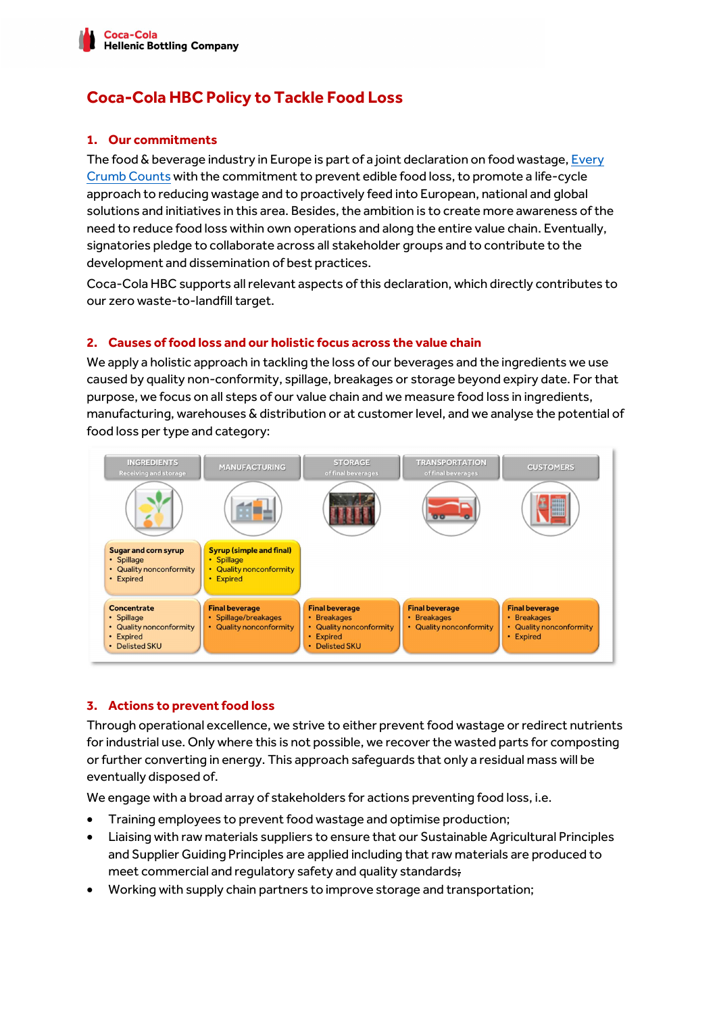

# Coca-Cola HBC Policy to Tackle Food Loss

#### 1. Our commitments

The food & beverage industry in Europe is part of a joint declaration on food wastage, Every Crumb Counts with the commitment to prevent edible food loss, to promote a life-cycle approach to reducing wastage and to proactively feed into European, national and global solutions and initiatives in this area. Besides, the ambition is to create more awareness of the need to reduce food loss within own operations and along the entire value chain. Eventually, signatories pledge to collaborate across all stakeholder groups and to contribute to the development and dissemination of best practices.

Coca-Cola HBC supports all relevant aspects of this declaration, which directly contributes to our zero waste-to-landfill target.

### 2. Causes of food loss and our holistic focus across the value chain

We apply a holistic approach in tackling the loss of our beverages and the ingredients we use caused by quality non-conformity, spillage, breakages or storage beyond expiry date. For that purpose, we focus on all steps of our value chain and we measure food loss in ingredients, manufacturing, warehouses & distribution or at customer level, and we analyse the potential of food loss per type and category:



### 3. Actions to prevent food loss

Through operational excellence, we strive to either prevent food wastage or redirect nutrients for industrial use. Only where this is not possible, we recover the wasted parts for composting or further converting in energy. This approach safeguards that only a residual mass will be eventually disposed of.

We engage with a broad array of stakeholders for actions preventing food loss, i.e.

- Training employees to prevent food wastage and optimise production;
- Liaising with raw materials suppliers to ensure that our Sustainable Agricultural Principles and Supplier Guiding Principles are applied including that raw materials are produced to meet commercial and regulatory safety and quality standards;
- Working with supply chain partners to improve storage and transportation;